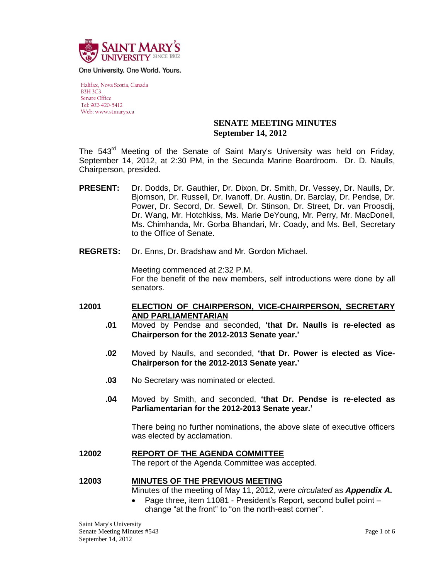

One University. One World. Yours.

Halifax, Nova Scotia, Canada B3H 3C3 Senate Office Tel: 902-420-5412 Web: www.stmarys.ca

## **SENATE MEETING MINUTES September 14, 2012**

The 543<sup>rd</sup> Meeting of the Senate of Saint Mary's University was held on Friday, September 14, 2012, at 2:30 PM, in the Secunda Marine Boardroom. Dr. D. Naulls, Chairperson, presided.

- **PRESENT:** Dr. Dodds, Dr. Gauthier, Dr. Dixon, Dr. Smith, Dr. Vessey, Dr. Naulls, Dr. Bjornson, Dr. Russell, Dr. Ivanoff, Dr. Austin, Dr. Barclay, Dr. Pendse, Dr. Power, Dr. Secord, Dr. Sewell, Dr. Stinson, Dr. Street, Dr. van Proosdij, Dr. Wang, Mr. Hotchkiss, Ms. Marie DeYoung, Mr. Perry, Mr. MacDonell, Ms. Chimhanda, Mr. Gorba Bhandari, Mr. Coady, and Ms. Bell, Secretary to the Office of Senate.
- **REGRETS:** Dr. Enns, Dr. Bradshaw and Mr. Gordon Michael.

Meeting commenced at 2:32 P.M. For the benefit of the new members, self introductions were done by all senators.

- **12001 ELECTION OF CHAIRPERSON, VICE-CHAIRPERSON, SECRETARY AND PARLIAMENTARIAN**
	- **.01** Moved by Pendse and seconded, **'that Dr. Naulls is re-elected as Chairperson for the 2012-2013 Senate year.'**
	- **.02** Moved by Naulls, and seconded, **'that Dr. Power is elected as Vice-Chairperson for the 2012-2013 Senate year.'**
	- **.03** No Secretary was nominated or elected.
	- **.04** Moved by Smith, and seconded, **'that Dr. Pendse is re-elected as Parliamentarian for the 2012-2013 Senate year.'**

There being no further nominations, the above slate of executive officers was elected by acclamation.

- **12002 REPORT OF THE AGENDA COMMITTEE** The report of the Agenda Committee was accepted.
- **12003 MINUTES OF THE PREVIOUS MEETING** Minutes of the meeting of May 11, 2012, were *circulated* as *Appendix A.*
	- Page three, item 11081 President's Report, second bullet point change "at the front" to "on the north-east corner".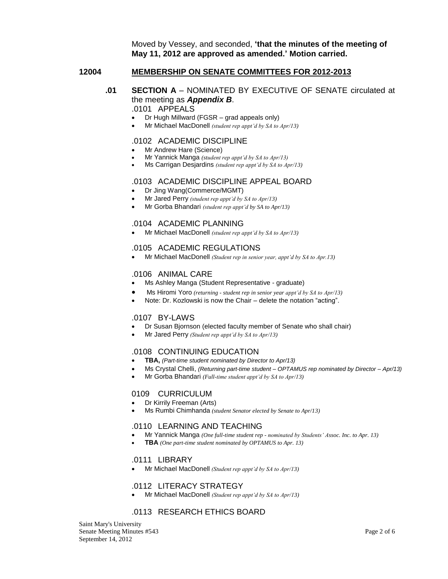Moved by Vessey, and seconded, **'that the minutes of the meeting of May 11, 2012 are approved as amended.' Motion carried.**

#### **12004 MEMBERSHIP ON SENATE COMMITTEES FOR 2012-2013**

# **.01 SECTION A** – NOMINATED BY EXECUTIVE OF SENATE circulated at the meeting as *Appendix B*.

## .0101 APPEALS

- Dr Hugh Millward (FGSR grad appeals only)
- Mr Michael MacDonell *(student rep appt'd by SA to Apr/13)*

### .0102 ACADEMIC DISCIPLINE

- Mr Andrew Hare (Science)
- Mr Yannick Manga *(student rep appt'd by SA to Apr/13)*
- Ms Carrigan Desjardins *(student rep appt'd by SA to Apr/13)*

### .0103 ACADEMIC DISCIPLINE APPEAL BOARD

- Dr Jing Wang(Commerce/MGMT)
- Mr Jared Perry *(student rep appt'd by SA to Apr/13)*
- Mr Gorba Bhandari *(student rep appt'd by SA to Apr/13)*

#### .0104 ACADEMIC PLANNING

Mr Michael MacDonell *(student rep appt'd by SA to Apr/13)*

### .0105 ACADEMIC REGULATIONS

Mr Michael MacDonell *(Student rep in senior year, appt'd by SA to Apr.13)*

#### .0106 ANIMAL CARE

- Ms Ashley Manga (Student Representative graduate)
- Ms Hiromi Yoro *(returning - student rep in senior year appt'd by SA to Apr/13)*
- Note: Dr. Kozlowski is now the Chair delete the notation "acting".

### .0107 BY-LAWS

- Dr Susan Bjornson (elected faculty member of Senate who shall chair)
- Mr Jared Perry *(Student rep appt'd by SA to Apr/13)*

#### .0108 CONTINUING EDUCATION

- **TBA,** *(Part-time student nominated by Director to Apr/13)*
- Ms Crystal Chelli, *(Returning part-time student – OPTAMUS rep nominated by Director – Apr/13)*
- Mr Gorba Bhandari *(Full-time student appt'd by SA to Apr/13)*

#### 0109 CURRICULUM

- Dr Kirrily Freeman (Arts)
- Ms Rumbi Chimhanda *(student Senator elected by Senate to Apr/13)*

## .0110 LEARNING AND TEACHING

- Mr Yannick Manga *(One full-time student rep - nominated by Students' Assoc. Inc. to Apr. 13)*
- **TBA** *(One part-time student nominated by OPTAMUS to Apr. 13)*

#### .0111 LIBRARY

Mr Michael MacDonell *(Student rep appt'd by SA to Apr/13)*

#### .0112 LITERACY STRATEGY

Mr Michael MacDonell *(Student rep appt'd by SA to Apr/13)*

## .0113 RESEARCH ETHICS BOARD

Saint Mary's University Senate Meeting Minutes #543 Page 2 of 6 September 14, 2012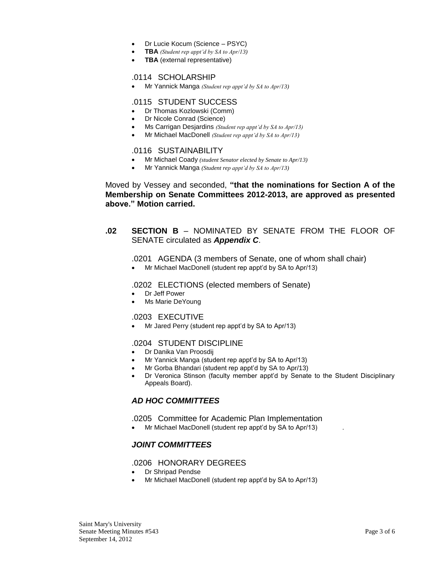- Dr Lucie Kocum (Science PSYC)
- **TBA** *(Student rep appt'd by SA to Apr/13)*
- **TBA** (external representative)

#### .0114 SCHOLARSHIP

Mr Yannick Manga *(Student rep appt'd by SA to Apr/13)*

#### .0115 STUDENT SUCCESS

- Dr Thomas Kozlowski (Comm)
- Dr Nicole Conrad (Science)
- Ms Carrigan Desjardins *(Student rep appt'd by SA to Apr/13)*
- Mr Michael MacDonell *(Student rep appt'd by SA to Apr/13)*

#### .0116 SUSTAINABILITY

- Mr Michael Coady *(student Senator elected by Senate to Apr/13)*
- Mr Yannick Manga *(Student rep appt'd by SA to Apr/13)*

### Moved by Vessey and seconded, **"that the nominations for Section A of the Membership on Senate Committees 2012-2013, are approved as presented above." Motion carried.**

## **.02 SECTION B** – NOMINATED BY SENATE FROM THE FLOOR OF SENATE circulated as *Appendix C*.

#### .0201 AGENDA (3 members of Senate, one of whom shall chair)

Mr Michael MacDonell (student rep appt'd by SA to Apr/13)

#### .0202 ELECTIONS (elected members of Senate)

- Dr Jeff Power
- Ms Marie DeYoung

#### .0203 EXECUTIVE

Mr Jared Perry (student rep appt'd by SA to Apr/13)

### .0204 STUDENT DISCIPLINE

- Dr Danika Van Proosdij
- Mr Yannick Manga (student rep appt'd by SA to Apr/13)
- Mr Gorba Bhandari (student rep appt'd by SA to Apr/13)
- Dr Veronica Stinson (faculty member appt'd by Senate to the Student Disciplinary Appeals Board).

## *AD HOC COMMITTEES*

#### .0205 Committee for Academic Plan Implementation

• Mr Michael MacDonell (student rep appt'd by SA to Apr/13)

## *JOINT COMMITTEES*

#### .0206 HONORARY DEGREES

- Dr Shripad Pendse
- Mr Michael MacDonell (student rep appt'd by SA to Apr/13)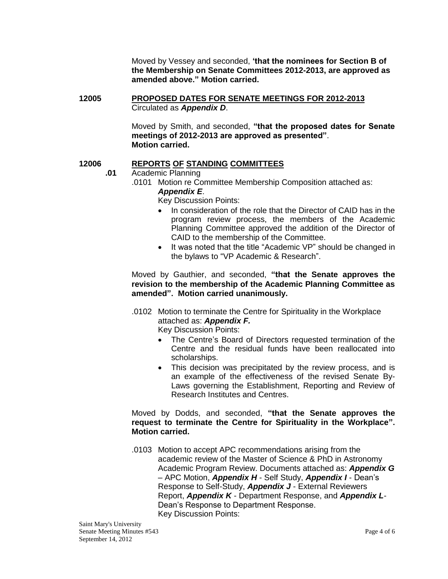Moved by Vessey and seconded, **'that the nominees for Section B of the Membership on Senate Committees 2012-2013, are approved as amended above." Motion carried.**

## **12005 PROPOSED DATES FOR SENATE MEETINGS FOR 2012-2013** Circulated as *Appendix D*.

Moved by Smith, and seconded, **"that the proposed dates for Senate meetings of 2012-2013 are approved as presented"**. **Motion carried.**

## **12006 REPORTS OF STANDING COMMITTEES**

- **.01** Academic Planning
	- .0101 Motion re Committee Membership Composition attached as:

## *Appendix E*.

Key Discussion Points:

- In consideration of the role that the Director of CAID has in the program review process, the members of the Academic Planning Committee approved the addition of the Director of CAID to the membership of the Committee.
- It was noted that the title "Academic VP" should be changed in the bylaws to "VP Academic & Research".

Moved by Gauthier, and seconded, **"that the Senate approves the revision to the membership of the Academic Planning Committee as amended". Motion carried unanimously.**

.0102 Motion to terminate the Centre for Spirituality in the Workplace attached as: *Appendix F.*

Key Discussion Points:

- The Centre's Board of Directors requested termination of the Centre and the residual funds have been reallocated into scholarships.
- This decision was precipitated by the review process, and is an example of the effectiveness of the revised Senate By-Laws governing the Establishment, Reporting and Review of Research Institutes and Centres.

Moved by Dodds, and seconded, **"that the Senate approves the request to terminate the Centre for Spirituality in the Workplace". Motion carried.**

.0103 Motion to accept APC recommendations arising from the academic review of the Master of Science & PhD in Astronomy Academic Program Review. Documents attached as: *Appendix G*  – APC Motion, *Appendix H* - Self Study, *Appendix I* - Dean's Response to Self-Study, *Appendix J* - External Reviewers Report, *Appendix K* - Department Response, and *Appendix L*-Dean's Response to Department Response. Key Discussion Points: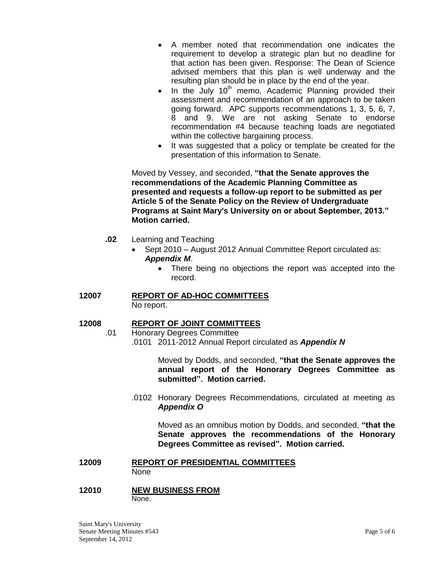- A member noted that recommendation one indicates the requirement to develop a strategic plan but no deadline for that action has been given. Response: The Dean of Science advised members that this plan is well underway and the resulting plan should be in place by the end of the year.
- In the July  $10<sup>th</sup>$  memo, Academic Planning provided their assessment and recommendation of an approach to be taken going forward. APC supports recommendations 1, 3, 5, 6, 7, 8 and 9. We are not asking Senate to endorse recommendation #4 because teaching loads are negotiated within the collective bargaining process.
- It was suggested that a policy or template be created for the presentation of this information to Senate.

Moved by Vessey, and seconded, **"that the Senate approves the recommendations of the Academic Planning Committee as presented and requests a follow-up report to be submitted as per Article 5 of the Senate Policy on the Review of Undergraduate Programs at Saint Mary's University on or about September, 2013." Motion carried.**

- **.02** Learning and Teaching
	- Sept 2010 August 2012 Annual Committee Report circulated as: *Appendix M*.
		- There being no objections the report was accepted into the record.

#### **12007 REPORT OF AD-HOC COMMITTEES** No report.

# **12008 REPORT OF JOINT COMMITTEES**

.01 Honorary Degrees Committee .0101 2011-2012 Annual Report circulated as *Appendix N*

> Moved by Dodds, and seconded, **"that the Senate approves the annual report of the Honorary Degrees Committee as submitted". Motion carried.**

.0102 Honorary Degrees Recommendations, circulated at meeting as *Appendix O*

Moved as an omnibus motion by Dodds, and seconded, **"that the Senate approves the recommendations of the Honorary Degrees Committee as revised". Motion carried.**

## **12009 REPORT OF PRESIDENTIAL COMMITTEES** None

### **12010 NEW BUSINESS FROM** None.